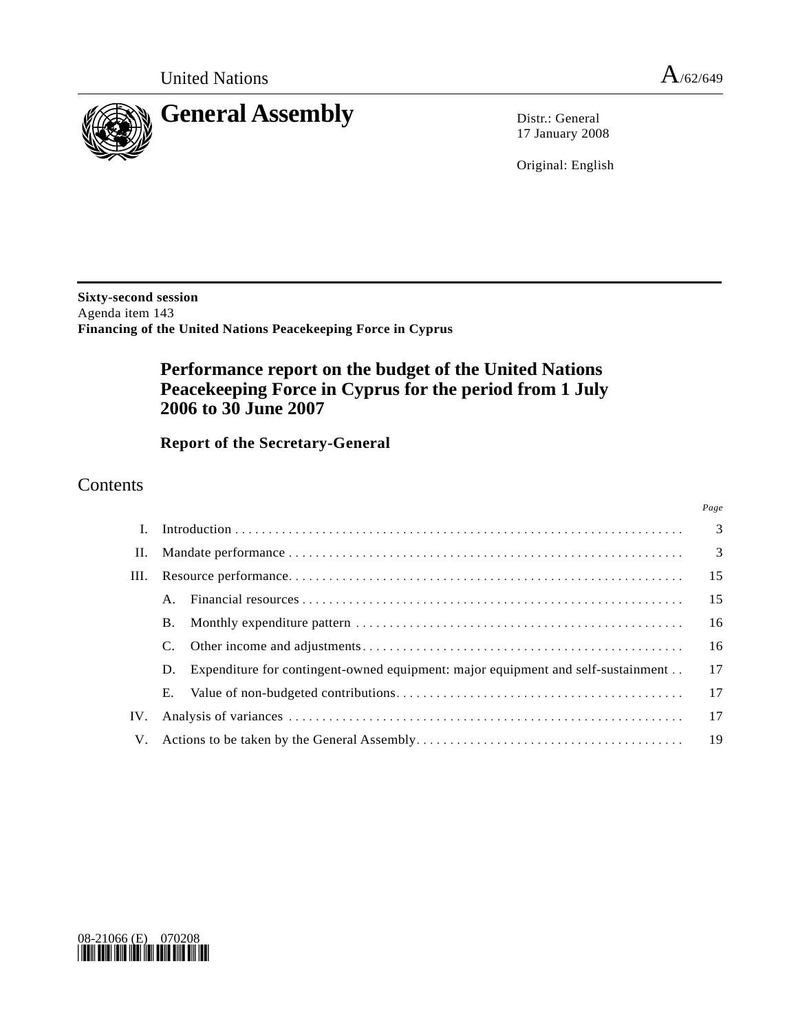*Page*



17 January 2008

Original: English

**Sixty-second session**  Agenda item 143 **Financing of the United Nations Peacekeeping Force in Cyprus** 

# **Performance report on the budget of the United Nations Peacekeeping Force in Cyprus for the period from 1 July 2006 to 30 June 2007**

 **Report of the Secretary-General** 

## Contents

| $\mathbf{I}$ . |                |                                                                                  |    |
|----------------|----------------|----------------------------------------------------------------------------------|----|
|                |                |                                                                                  |    |
| III.           |                |                                                                                  | 15 |
|                | $\mathsf{A}$ . |                                                                                  | 15 |
|                | B.             |                                                                                  | 16 |
|                |                |                                                                                  | 16 |
|                | D.             | Expenditure for contingent-owned equipment: major equipment and self-sustainment | 17 |
|                | Е.             |                                                                                  | 17 |
| IV.            |                |                                                                                  |    |
|                |                |                                                                                  |    |

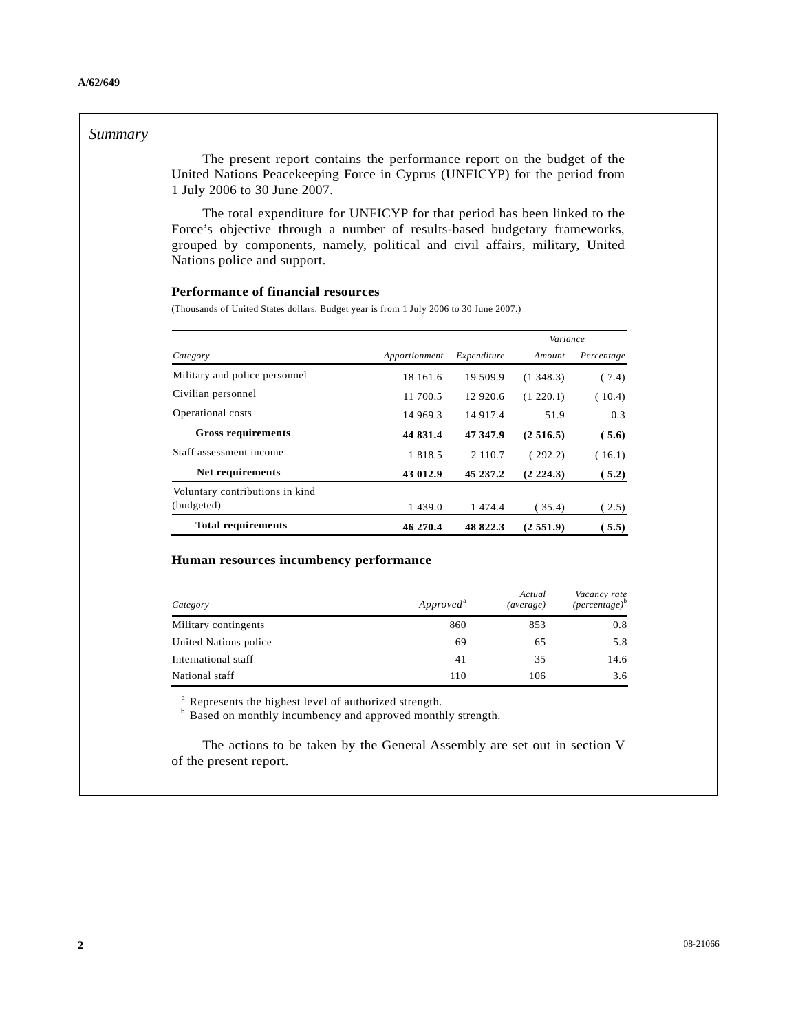#### *Summary*

 The present report contains the performance report on the budget of the United Nations Peacekeeping Force in Cyprus (UNFICYP) for the period from 1 July 2006 to 30 June 2007.

 The total expenditure for UNFICYP for that period has been linked to the Force's objective through a number of results-based budgetary frameworks, grouped by components, namely, political and civil affairs, military, United Nations police and support.

#### **Performance of financial resources**

(Thousands of United States dollars. Budget year is from 1 July 2006 to 30 June 2007.)

|                                 |               |             | Variance   |            |
|---------------------------------|---------------|-------------|------------|------------|
| Category                        | Apportionment | Expenditure | Amount     | Percentage |
| Military and police personnel   | 18 161.6      | 19 509.9    | (1, 348.3) | (7.4)      |
| Civilian personnel              | 11 700.5      | 12 920.6    | (1 220.1)  | (10.4)     |
| Operational costs               | 14 969.3      | 14 9 17.4   | 51.9       | 0.3        |
| <b>Gross requirements</b>       | 44 831.4      | 47 347.9    | (2516.5)   | (5.6)      |
| Staff assessment income         | 1 8 1 8 .5    | 2 110.7     | (292.2)    | (16.1)     |
| Net requirements                | 43 012.9      | 45 237.2    | (2, 224.3) | 5.2)       |
| Voluntary contributions in kind |               |             |            |            |
| (budgeted)                      | 1439.0        | 1 474.4     | 35.4)      | (2.5)      |
| <b>Total requirements</b>       | 46 270.4      | 48 822.3    | (2, 551.9) | 5.5)       |

#### **Human resources incumbency performance**

| Category              | Approved <sup>a</sup> | Actual<br>(average) | Vacancy rate<br>$(\text{percentage})^b$ |
|-----------------------|-----------------------|---------------------|-----------------------------------------|
| Military contingents  | 860                   | 853                 | 0.8                                     |
| United Nations police | 69                    | 65                  | 5.8                                     |
| International staff   | 41                    | 35                  | 14.6                                    |
| National staff        | 110                   | 106                 | 3.6                                     |

<sup>a</sup> Represents the highest level of authorized strength.

<sup>b</sup> Based on monthly incumbency and approved monthly strength.

 The actions to be taken by the General Assembly are set out in section V of the present report.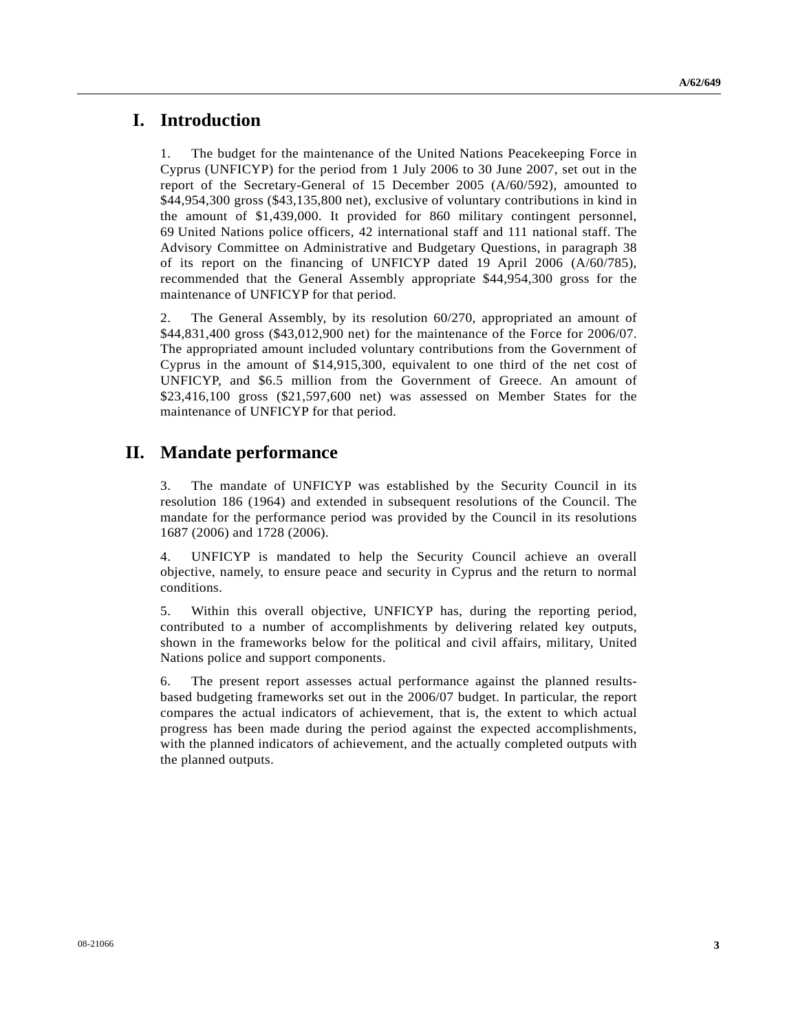## **I. Introduction**

1. The budget for the maintenance of the United Nations Peacekeeping Force in Cyprus (UNFICYP) for the period from 1 July 2006 to 30 June 2007, set out in the report of the Secretary-General of 15 December 2005 (A/60/592), amounted to \$44,954,300 gross (\$43,135,800 net), exclusive of voluntary contributions in kind in the amount of \$1,439,000. It provided for 860 military contingent personnel, 69 United Nations police officers, 42 international staff and 111 national staff. The Advisory Committee on Administrative and Budgetary Questions, in paragraph 38 of its report on the financing of UNFICYP dated 19 April 2006 (A/60/785), recommended that the General Assembly appropriate \$44,954,300 gross for the maintenance of UNFICYP for that period.

2. The General Assembly, by its resolution 60/270, appropriated an amount of \$44,831,400 gross (\$43,012,900 net) for the maintenance of the Force for 2006/07. The appropriated amount included voluntary contributions from the Government of Cyprus in the amount of \$14,915,300, equivalent to one third of the net cost of UNFICYP, and \$6.5 million from the Government of Greece. An amount of \$23,416,100 gross (\$21,597,600 net) was assessed on Member States for the maintenance of UNFICYP for that period.

## **II. Mandate performance**

3. The mandate of UNFICYP was established by the Security Council in its resolution 186 (1964) and extended in subsequent resolutions of the Council. The mandate for the performance period was provided by the Council in its resolutions 1687 (2006) and 1728 (2006).

4. UNFICYP is mandated to help the Security Council achieve an overall objective, namely, to ensure peace and security in Cyprus and the return to normal conditions.

5. Within this overall objective, UNFICYP has, during the reporting period, contributed to a number of accomplishments by delivering related key outputs, shown in the frameworks below for the political and civil affairs, military, United Nations police and support components.

6. The present report assesses actual performance against the planned resultsbased budgeting frameworks set out in the 2006/07 budget. In particular, the report compares the actual indicators of achievement, that is, the extent to which actual progress has been made during the period against the expected accomplishments, with the planned indicators of achievement, and the actually completed outputs with the planned outputs.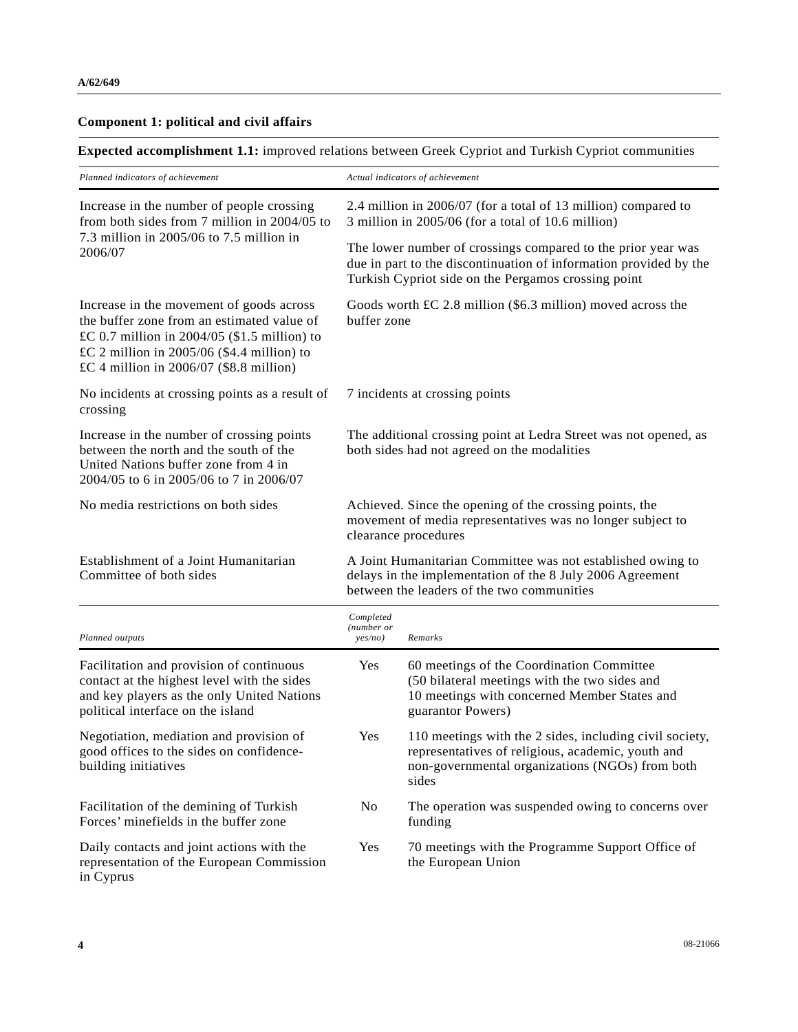#### **Component 1: political and civil affairs**

**Expected accomplishment 1.1:** improved relations between Greek Cypriot and Turkish Cypriot communities

| Planned indicators of achievement                                                                                                                                                                                                     | Actual indicators of achievement                                                                                                                                                         |  |  |
|---------------------------------------------------------------------------------------------------------------------------------------------------------------------------------------------------------------------------------------|------------------------------------------------------------------------------------------------------------------------------------------------------------------------------------------|--|--|
| Increase in the number of people crossing<br>from both sides from 7 million in $2004/05$ to                                                                                                                                           | 2.4 million in 2006/07 (for a total of 13 million) compared to<br>3 million in 2005/06 (for a total of 10.6 million)                                                                     |  |  |
| 7.3 million in 2005/06 to 7.5 million in<br>2006/07                                                                                                                                                                                   | The lower number of crossings compared to the prior year was<br>due in part to the discontinuation of information provided by the<br>Turkish Cypriot side on the Pergamos crossing point |  |  |
| Increase in the movement of goods across<br>the buffer zone from an estimated value of<br>£C 0.7 million in $2004/05$ (\$1.5 million) to<br>£C 2 million in $2005/06$ (\$4.4 million) to<br>£C 4 million in $2006/07$ (\$8.8 million) | Goods worth $\pounds C$ 2.8 million (\$6.3 million) moved across the<br>buffer zone                                                                                                      |  |  |
| No incidents at crossing points as a result of<br>crossing                                                                                                                                                                            | 7 incidents at crossing points                                                                                                                                                           |  |  |
| Increase in the number of crossing points<br>between the north and the south of the<br>United Nations buffer zone from 4 in<br>2004/05 to 6 in 2005/06 to 7 in 2006/07                                                                | The additional crossing point at Ledra Street was not opened, as<br>both sides had not agreed on the modalities                                                                          |  |  |
| No media restrictions on both sides                                                                                                                                                                                                   | Achieved. Since the opening of the crossing points, the<br>movement of media representatives was no longer subject to<br>clearance procedures                                            |  |  |
| Establishment of a Joint Humanitarian<br>Committee of both sides                                                                                                                                                                      | A Joint Humanitarian Committee was not established owing to<br>delays in the implementation of the 8 July 2006 Agreement<br>between the leaders of the two communities                   |  |  |
| Planned outputs                                                                                                                                                                                                                       | Completed<br>(number or<br>Remarks<br>yes/no)                                                                                                                                            |  |  |
| Facilitation and provision of continuous<br>contact at the highest level with the sides<br>and key players as the only United Nations<br>political interface on the island                                                            | 60 meetings of the Coordination Committee<br>Yes<br>(50 bilateral meetings with the two sides and<br>10 meetings with concerned Member States and<br>guarantor Powers)                   |  |  |

Negotiation, mediation and provision of good offices to the sides on confidencebuilding initiatives Yes 110 meetings with the 2 sides, including civil society, representatives of religious, academic, youth and non-governmental organizations (NGOs) from both sides Facilitation of the demining of Turkish Forces' minefields in the buffer zone No The operation was suspended owing to concerns over funding Daily contacts and joint actions with the representation of the European Commission Yes 70 meetings with the Programme Support Office of the European Union

in Cyprus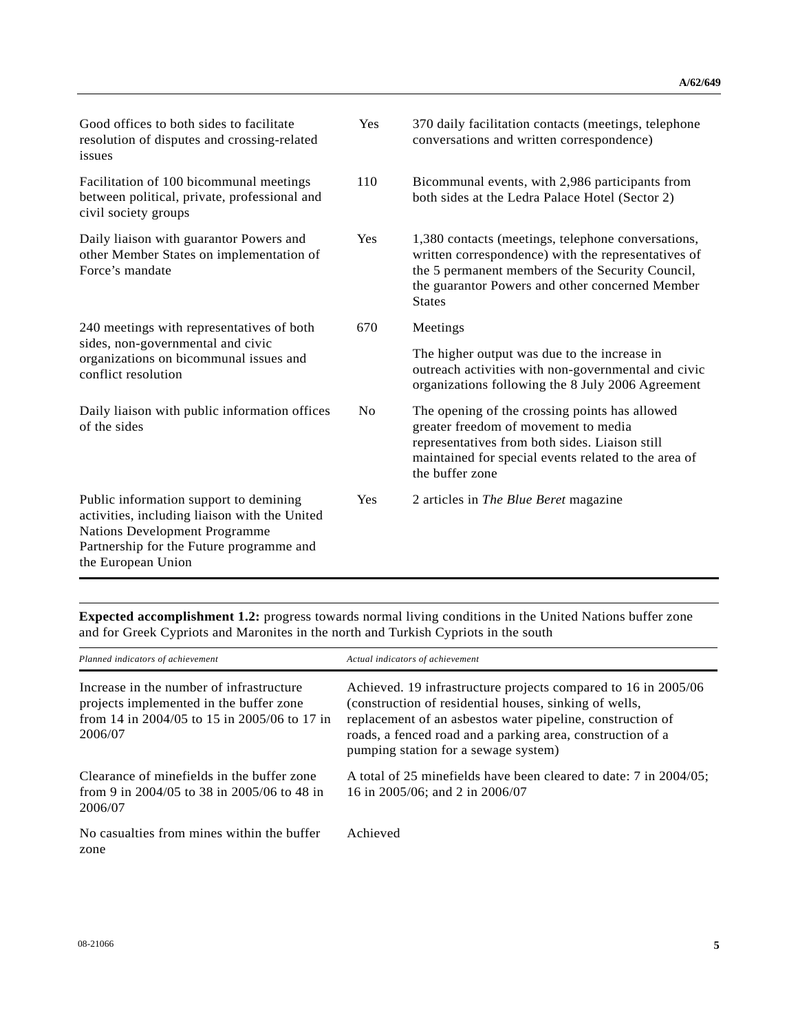| Good offices to both sides to facilitate<br>resolution of disputes and crossing-related<br>issues                                                                                                 | Yes            | 370 daily facilitation contacts (meetings, telephone<br>conversations and written correspondence)                                                                                                                                 |
|---------------------------------------------------------------------------------------------------------------------------------------------------------------------------------------------------|----------------|-----------------------------------------------------------------------------------------------------------------------------------------------------------------------------------------------------------------------------------|
| Facilitation of 100 bicommunal meetings<br>between political, private, professional and<br>civil society groups                                                                                   | 110            | Bicommunal events, with 2,986 participants from<br>both sides at the Ledra Palace Hotel (Sector 2)                                                                                                                                |
| Daily liaison with guarantor Powers and<br>other Member States on implementation of<br>Force's mandate                                                                                            | Yes            | 1,380 contacts (meetings, telephone conversations,<br>written correspondence) with the representatives of<br>the 5 permanent members of the Security Council,<br>the guarantor Powers and other concerned Member<br><b>States</b> |
| 240 meetings with representatives of both                                                                                                                                                         | 670            | Meetings                                                                                                                                                                                                                          |
| sides, non-governmental and civic<br>organizations on bicommunal issues and<br>conflict resolution                                                                                                |                | The higher output was due to the increase in<br>outreach activities with non-governmental and civic<br>organizations following the 8 July 2006 Agreement                                                                          |
| Daily liaison with public information offices<br>of the sides                                                                                                                                     | N <sub>o</sub> | The opening of the crossing points has allowed<br>greater freedom of movement to media<br>representatives from both sides. Liaison still<br>maintained for special events related to the area of<br>the buffer zone               |
| Public information support to demining<br>activities, including liaison with the United<br><b>Nations Development Programme</b><br>Partnership for the Future programme and<br>the European Union | Yes            | 2 articles in The Blue Beret magazine                                                                                                                                                                                             |

**Expected accomplishment 1.2:** progress towards normal living conditions in the United Nations buffer zone and for Greek Cypriots and Maronites in the north and Turkish Cypriots in the south

| Planned indicators of achievement                                                                                                              | Actual indicators of achievement                                                                                                                                                                                                                                                             |
|------------------------------------------------------------------------------------------------------------------------------------------------|----------------------------------------------------------------------------------------------------------------------------------------------------------------------------------------------------------------------------------------------------------------------------------------------|
| Increase in the number of infrastructure<br>projects implemented in the buffer zone<br>from 14 in 2004/05 to 15 in 2005/06 to 17 in<br>2006/07 | Achieved. 19 infrastructure projects compared to 16 in 2005/06<br>(construction of residential houses, sinking of wells,<br>replacement of an asbestos water pipeline, construction of<br>roads, a fenced road and a parking area, construction of a<br>pumping station for a sewage system) |
| Clearance of minefields in the buffer zone<br>from 9 in 2004/05 to 38 in 2005/06 to 48 in<br>2006/07                                           | A total of 25 minefields have been cleared to date: 7 in 2004/05;<br>16 in 2005/06; and 2 in 2006/07                                                                                                                                                                                         |
| No casualties from mines within the buffer<br>zone                                                                                             | Achieved                                                                                                                                                                                                                                                                                     |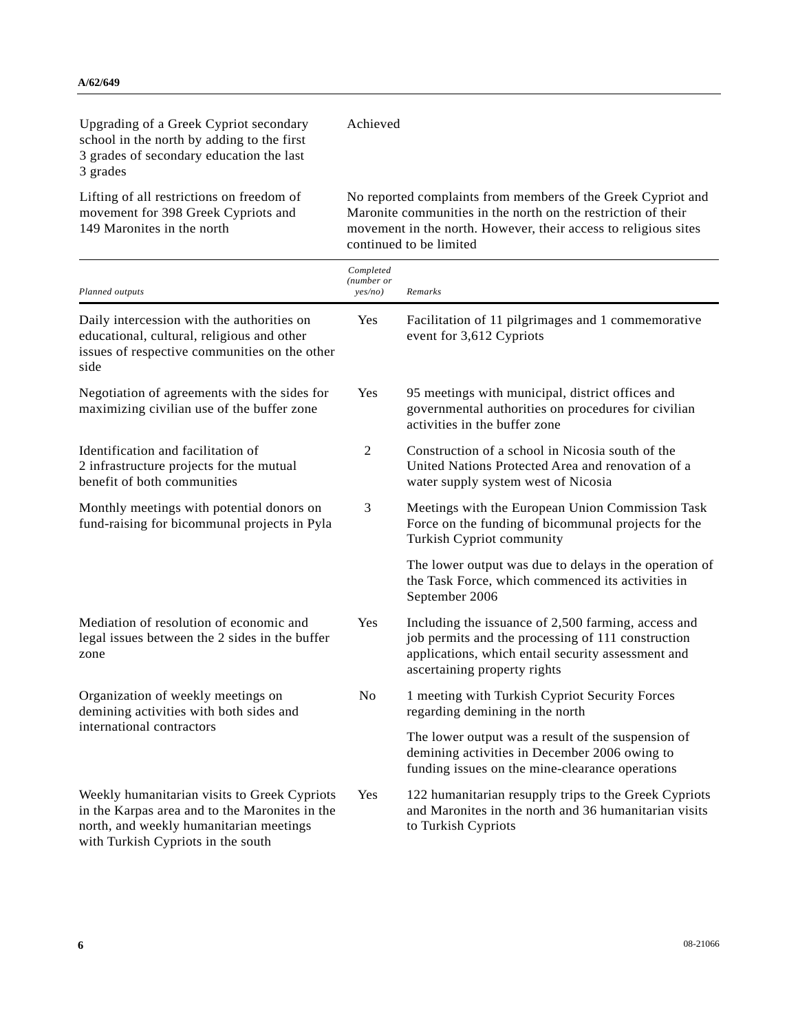149 Maronites in the north

| Upgrading of a Greek Cypriot secondary<br>school in the north by adding to the first<br>3 grades of secondary education the last<br>3 grades | Achieved                                                      |
|----------------------------------------------------------------------------------------------------------------------------------------------|---------------------------------------------------------------|
| Lifting of all restrictions on freedom of                                                                                                    | No reported complaints from members of the Greek Cypriot and  |
| movement for 398 Greek Cypriots and                                                                                                          | Maronite communities in the north on the restriction of their |

Maronite communities in the north on the restriction of their movement in the north. However, their access to religious sites continued to be limited

| Planned outputs                                                                                                                                                                 | Completed<br>(number or<br>yes/no) | Remarks                                                                                                                                                                                         |
|---------------------------------------------------------------------------------------------------------------------------------------------------------------------------------|------------------------------------|-------------------------------------------------------------------------------------------------------------------------------------------------------------------------------------------------|
| Daily intercession with the authorities on<br>educational, cultural, religious and other<br>issues of respective communities on the other<br>side                               | Yes                                | Facilitation of 11 pilgrimages and 1 commemorative<br>event for 3,612 Cypriots                                                                                                                  |
| Negotiation of agreements with the sides for<br>maximizing civilian use of the buffer zone                                                                                      | Yes                                | 95 meetings with municipal, district offices and<br>governmental authorities on procedures for civilian<br>activities in the buffer zone                                                        |
| Identification and facilitation of<br>2 infrastructure projects for the mutual<br>benefit of both communities                                                                   | $\overline{2}$                     | Construction of a school in Nicosia south of the<br>United Nations Protected Area and renovation of a<br>water supply system west of Nicosia                                                    |
| Monthly meetings with potential donors on<br>fund-raising for bicommunal projects in Pyla                                                                                       | 3                                  | Meetings with the European Union Commission Task<br>Force on the funding of bicommunal projects for the<br>Turkish Cypriot community                                                            |
|                                                                                                                                                                                 |                                    | The lower output was due to delays in the operation of<br>the Task Force, which commenced its activities in<br>September 2006                                                                   |
| Mediation of resolution of economic and<br>legal issues between the 2 sides in the buffer<br>zone                                                                               | Yes                                | Including the issuance of 2,500 farming, access and<br>job permits and the processing of 111 construction<br>applications, which entail security assessment and<br>ascertaining property rights |
| Organization of weekly meetings on<br>demining activities with both sides and                                                                                                   | No                                 | 1 meeting with Turkish Cypriot Security Forces<br>regarding demining in the north                                                                                                               |
| international contractors                                                                                                                                                       |                                    | The lower output was a result of the suspension of<br>demining activities in December 2006 owing to<br>funding issues on the mine-clearance operations                                          |
| Weekly humanitarian visits to Greek Cypriots<br>in the Karpas area and to the Maronites in the<br>north, and weekly humanitarian meetings<br>with Turkish Cypriots in the south | Yes                                | 122 humanitarian resupply trips to the Greek Cypriots<br>and Maronites in the north and 36 humanitarian visits<br>to Turkish Cypriots                                                           |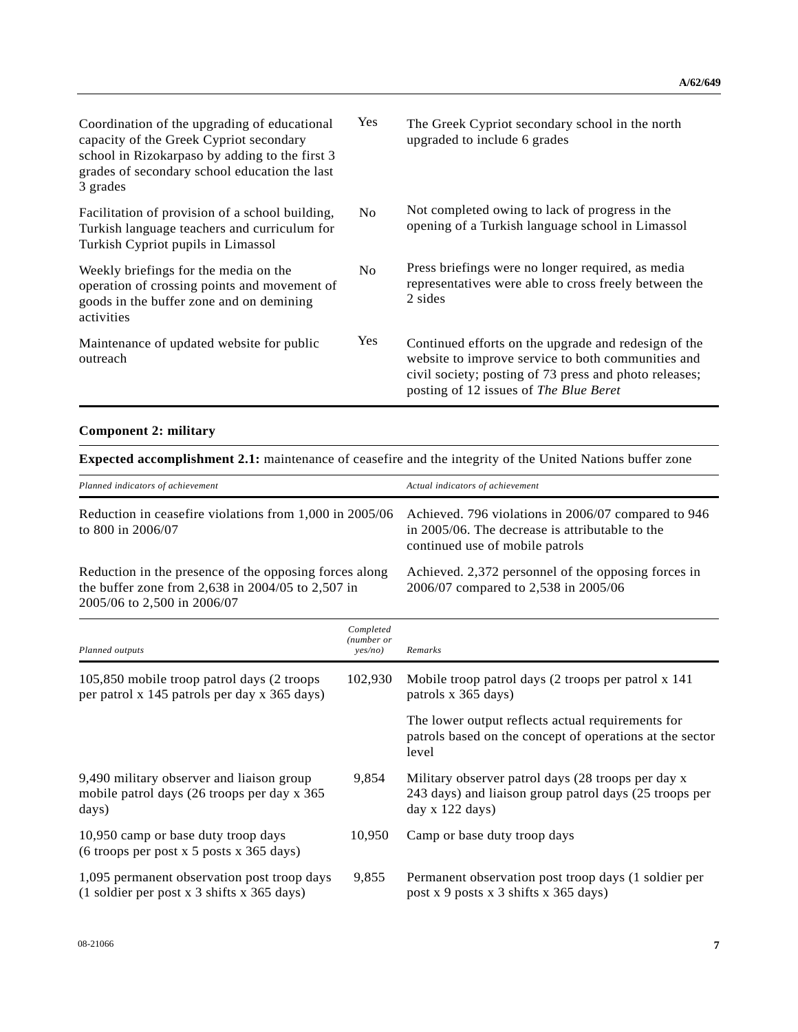| Coordination of the upgrading of educational<br>capacity of the Greek Cypriot secondary<br>school in Rizokarpaso by adding to the first 3<br>grades of secondary school education the last<br>3 grades | <b>Yes</b>     | The Greek Cypriot secondary school in the north<br>upgraded to include 6 grades                                                                                                                                |
|--------------------------------------------------------------------------------------------------------------------------------------------------------------------------------------------------------|----------------|----------------------------------------------------------------------------------------------------------------------------------------------------------------------------------------------------------------|
| Facilitation of provision of a school building,<br>Turkish language teachers and curriculum for<br>Turkish Cypriot pupils in Limassol                                                                  | N <sub>0</sub> | Not completed owing to lack of progress in the<br>opening of a Turkish language school in Limassol                                                                                                             |
| Weekly briefings for the media on the<br>operation of crossing points and movement of<br>goods in the buffer zone and on demining<br>activities                                                        | N <sub>0</sub> | Press briefings were no longer required, as media<br>representatives were able to cross freely between the<br>2 sides                                                                                          |
| Maintenance of updated website for public<br>outreach                                                                                                                                                  | <b>Yes</b>     | Continued efforts on the upgrade and redesign of the<br>website to improve service to both communities and<br>civil society; posting of 73 press and photo releases;<br>posting of 12 issues of The Blue Beret |

## **Component 2: military**

**Expected accomplishment 2.1:** maintenance of ceasefire and the integrity of the United Nations buffer zone

| Planned indicators of achievement                                                                                                          |                                    | Actual indicators of achievement                                                                                                          |
|--------------------------------------------------------------------------------------------------------------------------------------------|------------------------------------|-------------------------------------------------------------------------------------------------------------------------------------------|
| Reduction in ceasefire violations from 1,000 in 2005/06<br>to 800 in 2006/07                                                               |                                    | Achieved. 796 violations in 2006/07 compared to 946<br>in 2005/06. The decrease is attributable to the<br>continued use of mobile patrols |
| Reduction in the presence of the opposing forces along<br>the buffer zone from 2,638 in 2004/05 to 2,507 in<br>2005/06 to 2,500 in 2006/07 |                                    | Achieved. 2,372 personnel of the opposing forces in<br>2006/07 compared to 2,538 in 2005/06                                               |
| Planned outputs                                                                                                                            | Completed<br>(number or<br>yes/no) | Remarks                                                                                                                                   |
| 105,850 mobile troop patrol days (2 troops<br>per patrol x 145 patrols per day x 365 days)                                                 | 102,930                            | Mobile troop patrol days (2 troops per patrol x 141)<br>patrols x 365 days)                                                               |
|                                                                                                                                            |                                    | The lower output reflects actual requirements for<br>patrols based on the concept of operations at the sector<br>level                    |
| 9,490 military observer and liaison group<br>mobile patrol days (26 troops per day x 365<br>days)                                          | 9,854                              | Military observer patrol days (28 troops per day x<br>243 days) and liaison group patrol days (25 troops per<br>day x 122 days)           |
| 10,950 camp or base duty troop days<br>(6 troops per post x 5 posts x 365 days)                                                            | 10,950                             | Camp or base duty troop days                                                                                                              |
| 1,095 permanent observation post troop days<br>(1 soldier per post x 3 shifts x 365 days)                                                  | 9,855                              | Permanent observation post troop days (1 soldier per<br>post x 9 posts x 3 shifts x 365 days)                                             |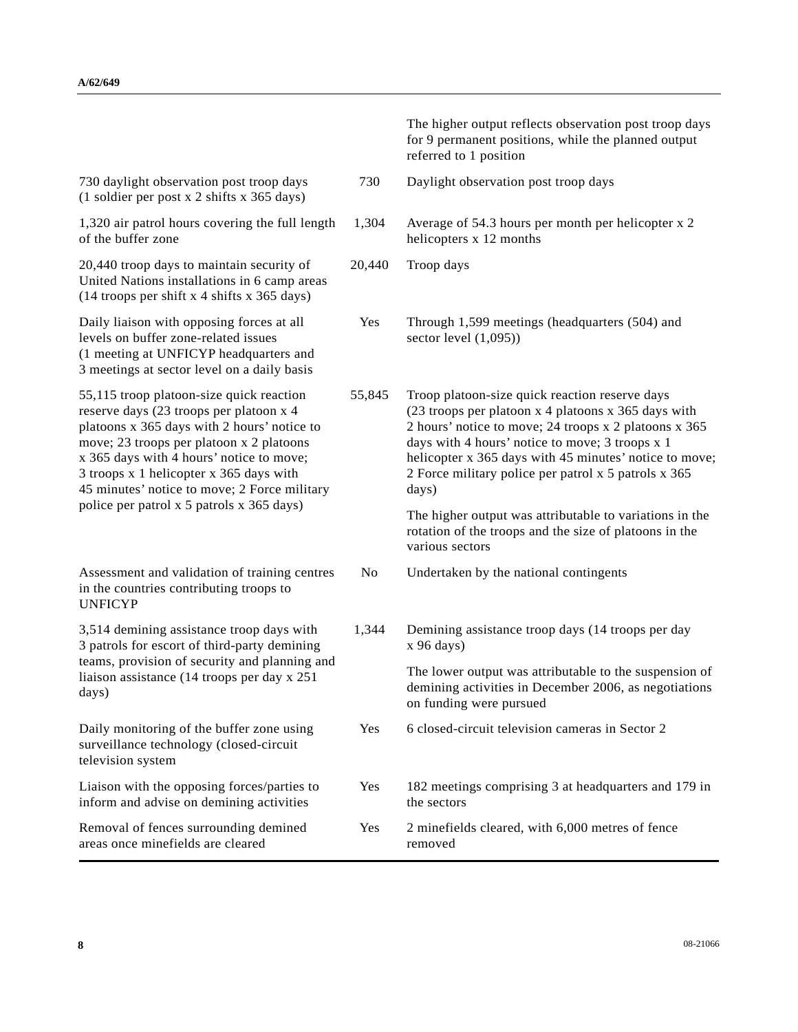|                                                                                                                                                                                                                                                                                                                                                                    |        | The higher output reflects observation post troop days<br>for 9 permanent positions, while the planned output<br>referred to 1 position                                                                                                                                                                                                                                                                 |
|--------------------------------------------------------------------------------------------------------------------------------------------------------------------------------------------------------------------------------------------------------------------------------------------------------------------------------------------------------------------|--------|---------------------------------------------------------------------------------------------------------------------------------------------------------------------------------------------------------------------------------------------------------------------------------------------------------------------------------------------------------------------------------------------------------|
| 730 daylight observation post troop days<br>(1 soldier per post x 2 shifts x 365 days)                                                                                                                                                                                                                                                                             | 730    | Daylight observation post troop days                                                                                                                                                                                                                                                                                                                                                                    |
| 1,320 air patrol hours covering the full length<br>of the buffer zone                                                                                                                                                                                                                                                                                              | 1,304  | Average of 54.3 hours per month per helicopter x 2<br>helicopters x 12 months                                                                                                                                                                                                                                                                                                                           |
| 20,440 troop days to maintain security of<br>United Nations installations in 6 camp areas<br>(14 troops per shift x 4 shifts x 365 days)                                                                                                                                                                                                                           | 20,440 | Troop days                                                                                                                                                                                                                                                                                                                                                                                              |
| Daily liaison with opposing forces at all<br>levels on buffer zone-related issues<br>(1 meeting at UNFICYP headquarters and<br>3 meetings at sector level on a daily basis                                                                                                                                                                                         | Yes    | Through 1,599 meetings (headquarters (504) and<br>sector level $(1,095)$                                                                                                                                                                                                                                                                                                                                |
| 55,115 troop platoon-size quick reaction<br>reserve days (23 troops per platoon x 4<br>platoons x 365 days with 2 hours' notice to<br>move; 23 troops per platoon x 2 platoons<br>x 365 days with 4 hours' notice to move;<br>3 troops x 1 helicopter x 365 days with<br>45 minutes' notice to move; 2 Force military<br>police per patrol x 5 patrols x 365 days) | 55,845 | Troop platoon-size quick reaction reserve days<br>(23 troops per platoon x 4 platoons x 365 days with<br>2 hours' notice to move; 24 troops x 2 platoons x 365<br>days with 4 hours' notice to move; 3 troops x 1<br>helicopter x 365 days with 45 minutes' notice to move;<br>2 Force military police per patrol x 5 patrols x 365<br>days)<br>The higher output was attributable to variations in the |
|                                                                                                                                                                                                                                                                                                                                                                    |        | rotation of the troops and the size of platoons in the<br>various sectors                                                                                                                                                                                                                                                                                                                               |
| Assessment and validation of training centres<br>in the countries contributing troops to<br><b>UNFICYP</b>                                                                                                                                                                                                                                                         | No     | Undertaken by the national contingents                                                                                                                                                                                                                                                                                                                                                                  |
| 3,514 demining assistance troop days with<br>3 patrols for escort of third-party demining                                                                                                                                                                                                                                                                          | 1,344  | Demining assistance troop days (14 troops per day<br>x 96 days)                                                                                                                                                                                                                                                                                                                                         |
| teams, provision of security and planning and<br>liaison assistance (14 troops per day x 251<br>days)                                                                                                                                                                                                                                                              |        | The lower output was attributable to the suspension of<br>demining activities in December 2006, as negotiations<br>on funding were pursued                                                                                                                                                                                                                                                              |
| Daily monitoring of the buffer zone using<br>surveillance technology (closed-circuit<br>television system                                                                                                                                                                                                                                                          | Yes    | 6 closed-circuit television cameras in Sector 2                                                                                                                                                                                                                                                                                                                                                         |
| Liaison with the opposing forces/parties to<br>inform and advise on demining activities                                                                                                                                                                                                                                                                            | Yes    | 182 meetings comprising 3 at headquarters and 179 in<br>the sectors                                                                                                                                                                                                                                                                                                                                     |
| Removal of fences surrounding demined<br>areas once minefields are cleared                                                                                                                                                                                                                                                                                         | Yes    | 2 minefields cleared, with 6,000 metres of fence<br>removed                                                                                                                                                                                                                                                                                                                                             |

I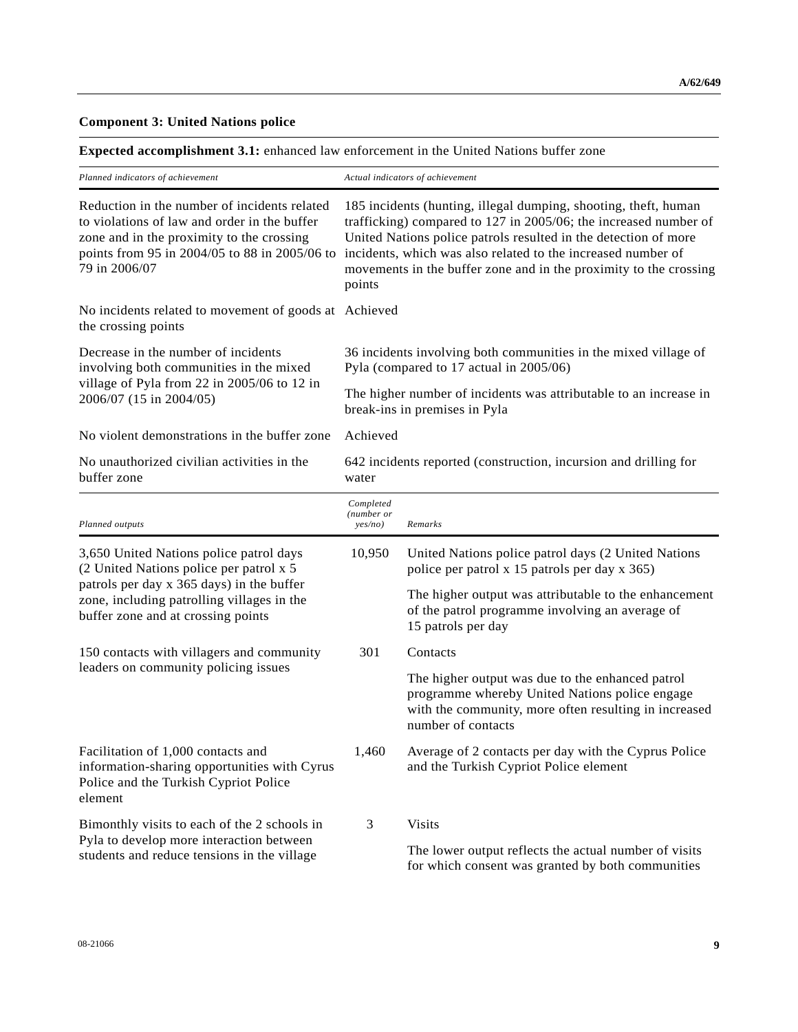#### **Component 3: United Nations police**

**Expected accomplishment 3.1:** enhanced law enforcement in the United Nations buffer zone

| Planned indicators of achievement                                                                                                                                                                           | Actual indicators of achievement                                                                                                                                                                                                                                                                                                                      |                                                                                                                                                                                   |  |  |
|-------------------------------------------------------------------------------------------------------------------------------------------------------------------------------------------------------------|-------------------------------------------------------------------------------------------------------------------------------------------------------------------------------------------------------------------------------------------------------------------------------------------------------------------------------------------------------|-----------------------------------------------------------------------------------------------------------------------------------------------------------------------------------|--|--|
| Reduction in the number of incidents related<br>to violations of law and order in the buffer<br>zone and in the proximity to the crossing<br>points from 95 in 2004/05 to 88 in 2005/06 to<br>79 in 2006/07 | 185 incidents (hunting, illegal dumping, shooting, theft, human<br>trafficking) compared to 127 in 2005/06; the increased number of<br>United Nations police patrols resulted in the detection of more<br>incidents, which was also related to the increased number of<br>movements in the buffer zone and in the proximity to the crossing<br>points |                                                                                                                                                                                   |  |  |
| No incidents related to movement of goods at Achieved<br>the crossing points                                                                                                                                |                                                                                                                                                                                                                                                                                                                                                       |                                                                                                                                                                                   |  |  |
| Decrease in the number of incidents<br>involving both communities in the mixed                                                                                                                              |                                                                                                                                                                                                                                                                                                                                                       | 36 incidents involving both communities in the mixed village of<br>Pyla (compared to 17 actual in 2005/06)                                                                        |  |  |
| village of Pyla from 22 in 2005/06 to 12 in<br>2006/07 (15 in 2004/05)                                                                                                                                      | The higher number of incidents was attributable to an increase in<br>break-ins in premises in Pyla                                                                                                                                                                                                                                                    |                                                                                                                                                                                   |  |  |
| No violent demonstrations in the buffer zone                                                                                                                                                                | Achieved                                                                                                                                                                                                                                                                                                                                              |                                                                                                                                                                                   |  |  |
| No unauthorized civilian activities in the<br>buffer zone                                                                                                                                                   | 642 incidents reported (construction, incursion and drilling for<br>water                                                                                                                                                                                                                                                                             |                                                                                                                                                                                   |  |  |
| Planned outputs                                                                                                                                                                                             | Completed<br>(number or<br>yes/no)                                                                                                                                                                                                                                                                                                                    | Remarks                                                                                                                                                                           |  |  |
| 3,650 United Nations police patrol days<br>(2 United Nations police per patrol x 5                                                                                                                          | 10,950                                                                                                                                                                                                                                                                                                                                                | United Nations police patrol days (2 United Nations<br>police per patrol x 15 patrols per day x 365)                                                                              |  |  |
| patrols per day x 365 days) in the buffer<br>zone, including patrolling villages in the<br>buffer zone and at crossing points                                                                               |                                                                                                                                                                                                                                                                                                                                                       | The higher output was attributable to the enhancement<br>of the patrol programme involving an average of<br>15 patrols per day                                                    |  |  |
| 150 contacts with villagers and community                                                                                                                                                                   | 301                                                                                                                                                                                                                                                                                                                                                   | Contacts                                                                                                                                                                          |  |  |
| leaders on community policing issues                                                                                                                                                                        |                                                                                                                                                                                                                                                                                                                                                       | The higher output was due to the enhanced patrol<br>programme whereby United Nations police engage<br>with the community, more often resulting in increased<br>number of contacts |  |  |
| Facilitation of 1,000 contacts and<br>information-sharing opportunities with Cyrus<br>Police and the Turkish Cypriot Police<br>element                                                                      | 1,460                                                                                                                                                                                                                                                                                                                                                 | Average of 2 contacts per day with the Cyprus Police<br>and the Turkish Cypriot Police element                                                                                    |  |  |
| Bimonthly visits to each of the 2 schools in                                                                                                                                                                | 3                                                                                                                                                                                                                                                                                                                                                     | <b>Visits</b>                                                                                                                                                                     |  |  |
| Pyla to develop more interaction between<br>students and reduce tensions in the village                                                                                                                     |                                                                                                                                                                                                                                                                                                                                                       | The lower output reflects the actual number of visits<br>for which consent was granted by both communities                                                                        |  |  |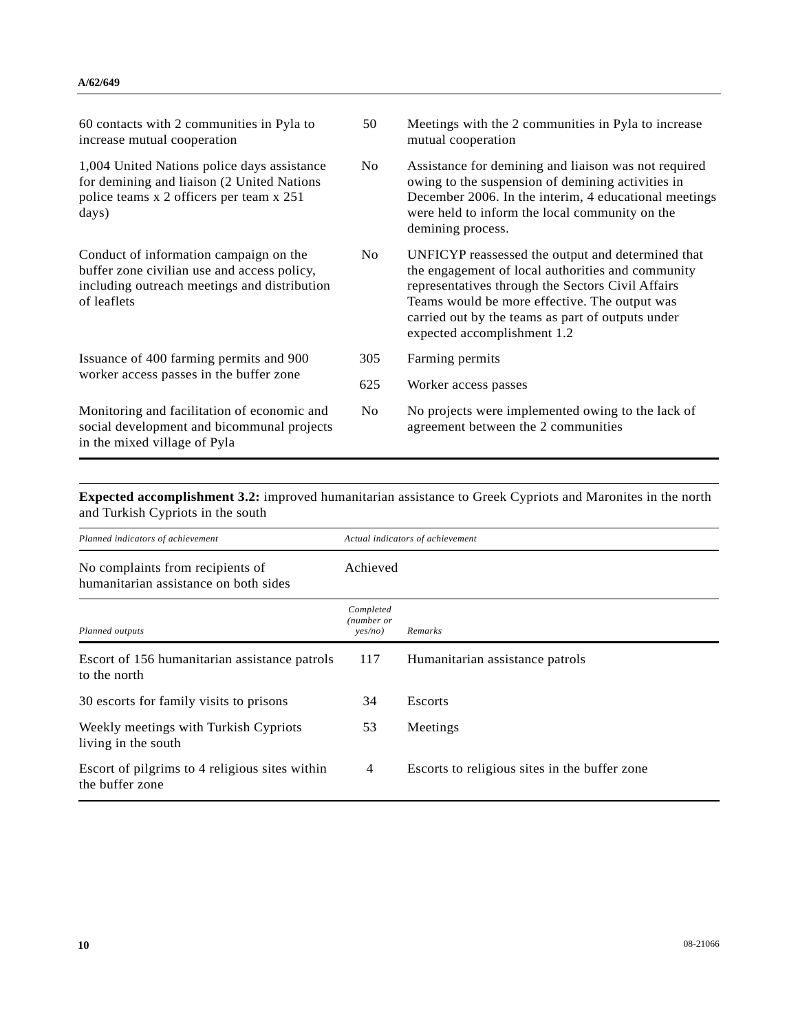| 60 contacts with 2 communities in Pyla to<br>increase mutual cooperation                                                                             | 50             | Meetings with the 2 communities in Pyla to increase<br>mutual cooperation                                                                                                                                                                                                                        |
|------------------------------------------------------------------------------------------------------------------------------------------------------|----------------|--------------------------------------------------------------------------------------------------------------------------------------------------------------------------------------------------------------------------------------------------------------------------------------------------|
| 1,004 United Nations police days assistance<br>for demining and liaison (2 United Nations<br>police teams x 2 officers per team x 251<br>days)       | No.            | Assistance for demining and liaison was not required<br>owing to the suspension of demining activities in<br>December 2006. In the interim, 4 educational meetings<br>were held to inform the local community on the<br>demining process.                                                        |
| Conduct of information campaign on the<br>buffer zone civilian use and access policy,<br>including outreach meetings and distribution<br>of leaflets | No.            | UNFICYP reassessed the output and determined that<br>the engagement of local authorities and community<br>representatives through the Sectors Civil Affairs<br>Teams would be more effective. The output was<br>carried out by the teams as part of outputs under<br>expected accomplishment 1.2 |
| Issuance of 400 farming permits and 900                                                                                                              | 305            | Farming permits                                                                                                                                                                                                                                                                                  |
| worker access passes in the buffer zone                                                                                                              | 625            | Worker access passes                                                                                                                                                                                                                                                                             |
| Monitoring and facilitation of economic and<br>social development and bicommunal projects<br>in the mixed village of Pyla                            | N <sub>0</sub> | No projects were implemented owing to the lack of<br>agreement between the 2 communities                                                                                                                                                                                                         |

**Expected accomplishment 3.2:** improved humanitarian assistance to Greek Cypriots and Maronites in the north and Turkish Cypriots in the south

| Planned indicators of achievement                                         | Actual indicators of achievement   |                                               |  |
|---------------------------------------------------------------------------|------------------------------------|-----------------------------------------------|--|
| No complaints from recipients of<br>humanitarian assistance on both sides | Achieved                           |                                               |  |
| Planned outputs                                                           | Completed<br>(number or<br>ves/no) | Remarks                                       |  |
| Escort of 156 humanitarian assistance patrols<br>to the north             | 117                                | Humanitarian assistance patrols               |  |
| 30 escorts for family visits to prisons                                   | 34                                 | <b>Escorts</b>                                |  |
| Weekly meetings with Turkish Cypriots<br>living in the south              | 53                                 | Meetings                                      |  |
| Escort of pilgrims to 4 religious sites within<br>the buffer zone         | $\overline{4}$                     | Escorts to religious sites in the buffer zone |  |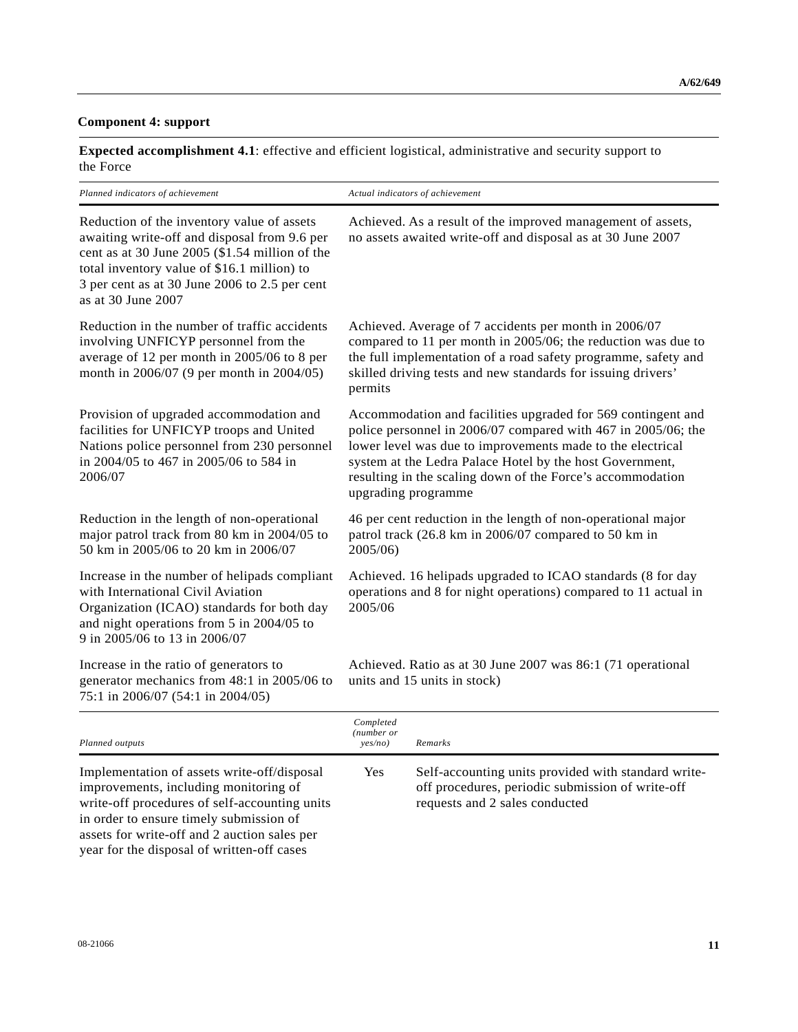#### **Component 4: support**

**Expected accomplishment 4.1**: effective and efficient logistical, administrative and security support to the Force

| Planned indicators of achievement                                                                                                                                                                                                                                  | Actual indicators of achievement                                                                                                                                                                                                                                                                                                             |
|--------------------------------------------------------------------------------------------------------------------------------------------------------------------------------------------------------------------------------------------------------------------|----------------------------------------------------------------------------------------------------------------------------------------------------------------------------------------------------------------------------------------------------------------------------------------------------------------------------------------------|
| Reduction of the inventory value of assets<br>awaiting write-off and disposal from 9.6 per<br>cent as at 30 June 2005 (\$1.54 million of the<br>total inventory value of \$16.1 million) to<br>3 per cent as at 30 June 2006 to 2.5 per cent<br>as at 30 June 2007 | Achieved. As a result of the improved management of assets,<br>no assets awaited write-off and disposal as at 30 June 2007                                                                                                                                                                                                                   |
| Reduction in the number of traffic accidents<br>involving UNFICYP personnel from the<br>average of 12 per month in 2005/06 to 8 per<br>month in 2006/07 (9 per month in 2004/05)                                                                                   | Achieved. Average of 7 accidents per month in 2006/07<br>compared to 11 per month in 2005/06; the reduction was due to<br>the full implementation of a road safety programme, safety and<br>skilled driving tests and new standards for issuing drivers'<br>permits                                                                          |
| Provision of upgraded accommodation and<br>facilities for UNFICYP troops and United<br>Nations police personnel from 230 personnel<br>in 2004/05 to 467 in 2005/06 to 584 in<br>2006/07                                                                            | Accommodation and facilities upgraded for 569 contingent and<br>police personnel in 2006/07 compared with 467 in 2005/06; the<br>lower level was due to improvements made to the electrical<br>system at the Ledra Palace Hotel by the host Government,<br>resulting in the scaling down of the Force's accommodation<br>upgrading programme |
| Reduction in the length of non-operational<br>major patrol track from 80 km in 2004/05 to<br>50 km in 2005/06 to 20 km in 2006/07                                                                                                                                  | 46 per cent reduction in the length of non-operational major<br>patrol track (26.8 km in 2006/07 compared to 50 km in<br>2005/06)                                                                                                                                                                                                            |
| Increase in the number of helipads compliant<br>with International Civil Aviation<br>Organization (ICAO) standards for both day<br>and night operations from 5 in 2004/05 to<br>9 in 2005/06 to 13 in 2006/07                                                      | Achieved. 16 helipads upgraded to ICAO standards (8 for day<br>operations and 8 for night operations) compared to 11 actual in<br>2005/06                                                                                                                                                                                                    |
| Increase in the ratio of generators to<br>generator mechanics from 48:1 in 2005/06 to<br>75:1 in 2006/07 (54:1 in 2004/05)                                                                                                                                         | Achieved. Ratio as at 30 June 2007 was 86:1 (71 operational<br>units and 15 units in stock)                                                                                                                                                                                                                                                  |
|                                                                                                                                                                                                                                                                    | Completed                                                                                                                                                                                                                                                                                                                                    |

| Planned outputs                                                                                                                                                                                                                                                                | Completed<br>(number or<br>ves/no) | Remarks                                                                                                                                   |
|--------------------------------------------------------------------------------------------------------------------------------------------------------------------------------------------------------------------------------------------------------------------------------|------------------------------------|-------------------------------------------------------------------------------------------------------------------------------------------|
| Implementation of assets write-off/disposal<br>improvements, including monitoring of<br>write-off procedures of self-accounting units<br>in order to ensure timely submission of<br>assets for write-off and 2 auction sales per<br>year for the disposal of written-off cases | Yes                                | Self-accounting units provided with standard write-<br>off procedures, periodic submission of write-off<br>requests and 2 sales conducted |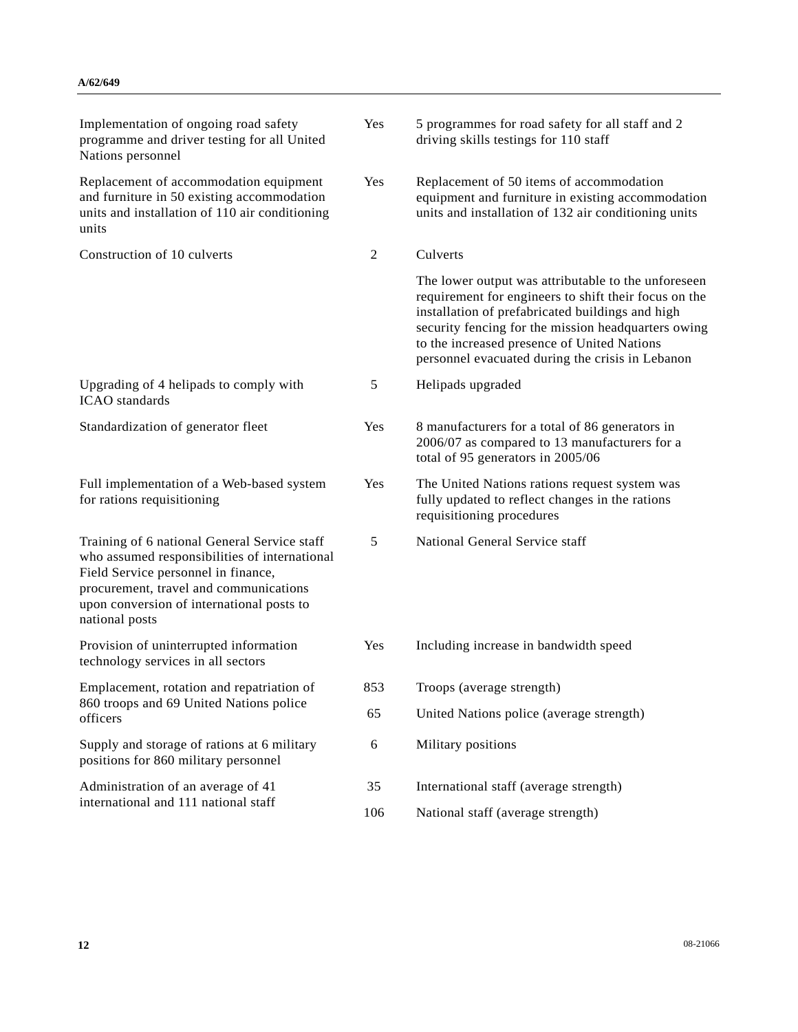| Implementation of ongoing road safety<br>programme and driver testing for all United<br>Nations personnel                                                                                                                                     | Yes | 5 programmes for road safety for all staff and 2<br>driving skills testings for 110 staff                                                                                                                                                                                                                                  |
|-----------------------------------------------------------------------------------------------------------------------------------------------------------------------------------------------------------------------------------------------|-----|----------------------------------------------------------------------------------------------------------------------------------------------------------------------------------------------------------------------------------------------------------------------------------------------------------------------------|
| Replacement of accommodation equipment<br>and furniture in 50 existing accommodation<br>units and installation of 110 air conditioning<br>units                                                                                               | Yes | Replacement of 50 items of accommodation<br>equipment and furniture in existing accommodation<br>units and installation of 132 air conditioning units                                                                                                                                                                      |
| Construction of 10 culverts                                                                                                                                                                                                                   | 2   | Culverts                                                                                                                                                                                                                                                                                                                   |
|                                                                                                                                                                                                                                               |     | The lower output was attributable to the unforeseen<br>requirement for engineers to shift their focus on the<br>installation of prefabricated buildings and high<br>security fencing for the mission headquarters owing<br>to the increased presence of United Nations<br>personnel evacuated during the crisis in Lebanon |
| Upgrading of 4 helipads to comply with<br><b>ICAO</b> standards                                                                                                                                                                               | 5   | Helipads upgraded                                                                                                                                                                                                                                                                                                          |
| Standardization of generator fleet                                                                                                                                                                                                            | Yes | 8 manufacturers for a total of 86 generators in<br>2006/07 as compared to 13 manufacturers for a<br>total of 95 generators in 2005/06                                                                                                                                                                                      |
| Full implementation of a Web-based system<br>for rations requisitioning                                                                                                                                                                       | Yes | The United Nations rations request system was<br>fully updated to reflect changes in the rations<br>requisitioning procedures                                                                                                                                                                                              |
| Training of 6 national General Service staff<br>who assumed responsibilities of international<br>Field Service personnel in finance,<br>procurement, travel and communications<br>upon conversion of international posts to<br>national posts | 5   | National General Service staff                                                                                                                                                                                                                                                                                             |
| Provision of uninterrupted information<br>technology services in all sectors                                                                                                                                                                  | Yes | Including increase in bandwidth speed                                                                                                                                                                                                                                                                                      |
| Emplacement, rotation and repatriation of                                                                                                                                                                                                     | 853 | Troops (average strength)                                                                                                                                                                                                                                                                                                  |
| 860 troops and 69 United Nations police<br>officers                                                                                                                                                                                           | 65  | United Nations police (average strength)                                                                                                                                                                                                                                                                                   |
| Supply and storage of rations at 6 military<br>positions for 860 military personnel                                                                                                                                                           | 6   | Military positions                                                                                                                                                                                                                                                                                                         |
| Administration of an average of 41                                                                                                                                                                                                            | 35  | International staff (average strength)                                                                                                                                                                                                                                                                                     |
| international and 111 national staff                                                                                                                                                                                                          | 106 | National staff (average strength)                                                                                                                                                                                                                                                                                          |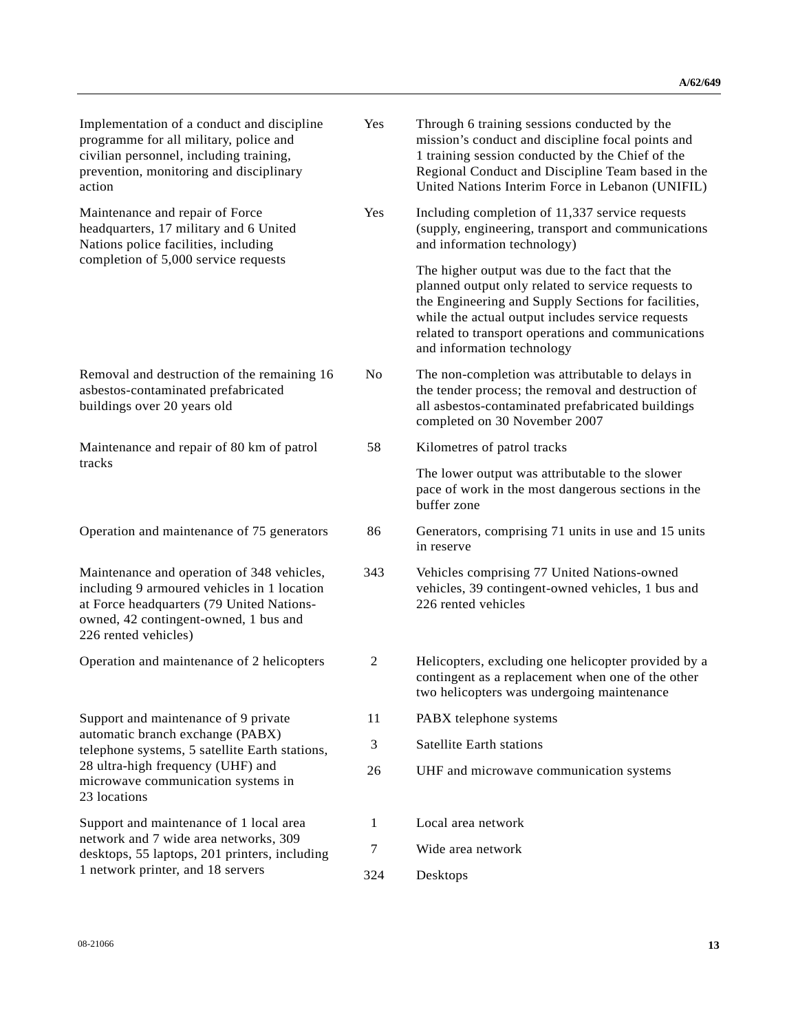| Implementation of a conduct and discipline<br>programme for all military, police and<br>civilian personnel, including training,<br>prevention, monitoring and disciplinary<br>action                    | Yes            | Through 6 training sessions conducted by the<br>mission's conduct and discipline focal points and<br>1 training session conducted by the Chief of the<br>Regional Conduct and Discipline Team based in the<br>United Nations Interim Force in Lebanon (UNIFIL)                                       |
|---------------------------------------------------------------------------------------------------------------------------------------------------------------------------------------------------------|----------------|------------------------------------------------------------------------------------------------------------------------------------------------------------------------------------------------------------------------------------------------------------------------------------------------------|
| Maintenance and repair of Force<br>headquarters, 17 military and 6 United<br>Nations police facilities, including                                                                                       | Yes            | Including completion of 11,337 service requests<br>(supply, engineering, transport and communications<br>and information technology)                                                                                                                                                                 |
| completion of 5,000 service requests                                                                                                                                                                    |                | The higher output was due to the fact that the<br>planned output only related to service requests to<br>the Engineering and Supply Sections for facilities,<br>while the actual output includes service requests<br>related to transport operations and communications<br>and information technology |
| Removal and destruction of the remaining 16<br>asbestos-contaminated prefabricated<br>buildings over 20 years old                                                                                       | N <sub>0</sub> | The non-completion was attributable to delays in<br>the tender process; the removal and destruction of<br>all asbestos-contaminated prefabricated buildings<br>completed on 30 November 2007                                                                                                         |
| Maintenance and repair of 80 km of patrol                                                                                                                                                               | 58             | Kilometres of patrol tracks                                                                                                                                                                                                                                                                          |
| tracks                                                                                                                                                                                                  |                | The lower output was attributable to the slower<br>pace of work in the most dangerous sections in the<br>buffer zone                                                                                                                                                                                 |
| Operation and maintenance of 75 generators                                                                                                                                                              | 86             | Generators, comprising 71 units in use and 15 units<br>in reserve                                                                                                                                                                                                                                    |
| Maintenance and operation of 348 vehicles,<br>including 9 armoured vehicles in 1 location<br>at Force headquarters (79 United Nations-<br>owned, 42 contingent-owned, 1 bus and<br>226 rented vehicles) | 343            | Vehicles comprising 77 United Nations-owned<br>vehicles, 39 contingent-owned vehicles, 1 bus and<br>226 rented vehicles                                                                                                                                                                              |
| Operation and maintenance of 2 helicopters                                                                                                                                                              | $\overline{c}$ | Helicopters, excluding one helicopter provided by a<br>contingent as a replacement when one of the other<br>two helicopters was undergoing maintenance                                                                                                                                               |
| Support and maintenance of 9 private                                                                                                                                                                    | 11             | PABX telephone systems                                                                                                                                                                                                                                                                               |
| automatic branch exchange (PABX)<br>telephone systems, 5 satellite Earth stations,                                                                                                                      | 3              | <b>Satellite Earth stations</b>                                                                                                                                                                                                                                                                      |
| 28 ultra-high frequency (UHF) and<br>microwave communication systems in<br>23 locations                                                                                                                 | 26             | UHF and microwave communication systems                                                                                                                                                                                                                                                              |
| Support and maintenance of 1 local area                                                                                                                                                                 | 1              | Local area network                                                                                                                                                                                                                                                                                   |
| network and 7 wide area networks, 309<br>desktops, 55 laptops, 201 printers, including                                                                                                                  | 7              | Wide area network                                                                                                                                                                                                                                                                                    |
| 1 network printer, and 18 servers                                                                                                                                                                       | 324            | Desktops                                                                                                                                                                                                                                                                                             |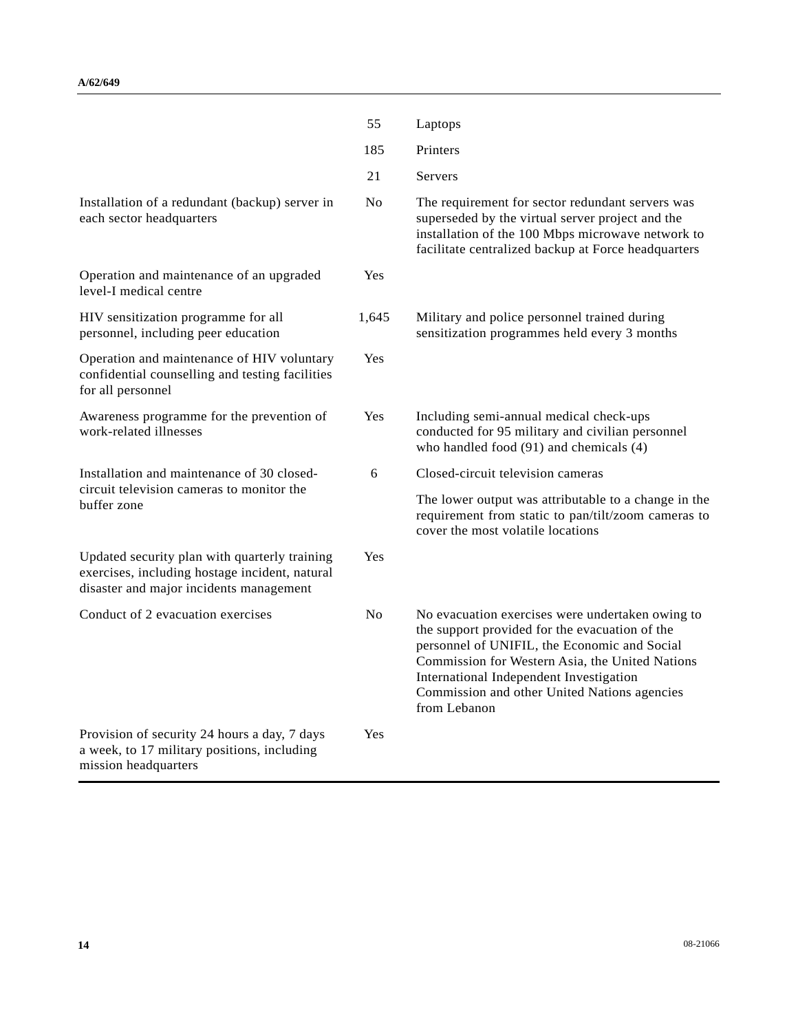|                                                                                                                                            | 55             | Laptops                                                                                                                                                                                                                                                                                                          |
|--------------------------------------------------------------------------------------------------------------------------------------------|----------------|------------------------------------------------------------------------------------------------------------------------------------------------------------------------------------------------------------------------------------------------------------------------------------------------------------------|
|                                                                                                                                            | 185            | Printers                                                                                                                                                                                                                                                                                                         |
|                                                                                                                                            | 21             | <b>Servers</b>                                                                                                                                                                                                                                                                                                   |
| Installation of a redundant (backup) server in<br>each sector headquarters                                                                 | N <sub>0</sub> | The requirement for sector redundant servers was<br>superseded by the virtual server project and the<br>installation of the 100 Mbps microwave network to<br>facilitate centralized backup at Force headquarters                                                                                                 |
| Operation and maintenance of an upgraded<br>level-I medical centre                                                                         | Yes            |                                                                                                                                                                                                                                                                                                                  |
| HIV sensitization programme for all<br>personnel, including peer education                                                                 | 1,645          | Military and police personnel trained during<br>sensitization programmes held every 3 months                                                                                                                                                                                                                     |
| Operation and maintenance of HIV voluntary<br>confidential counselling and testing facilities<br>for all personnel                         | Yes            |                                                                                                                                                                                                                                                                                                                  |
| Awareness programme for the prevention of<br>work-related illnesses                                                                        | Yes            | Including semi-annual medical check-ups<br>conducted for 95 military and civilian personnel<br>who handled food (91) and chemicals (4)                                                                                                                                                                           |
| Installation and maintenance of 30 closed-                                                                                                 | 6              | Closed-circuit television cameras                                                                                                                                                                                                                                                                                |
| circuit television cameras to monitor the<br>buffer zone                                                                                   |                | The lower output was attributable to a change in the<br>requirement from static to pan/tilt/zoom cameras to<br>cover the most volatile locations                                                                                                                                                                 |
| Updated security plan with quarterly training<br>exercises, including hostage incident, natural<br>disaster and major incidents management | Yes            |                                                                                                                                                                                                                                                                                                                  |
| Conduct of 2 evacuation exercises                                                                                                          | N <sub>0</sub> | No evacuation exercises were undertaken owing to<br>the support provided for the evacuation of the<br>personnel of UNIFIL, the Economic and Social<br>Commission for Western Asia, the United Nations<br>International Independent Investigation<br>Commission and other United Nations agencies<br>from Lebanon |
| Provision of security 24 hours a day, 7 days<br>a week, to 17 military positions, including<br>mission headquarters                        | Yes            |                                                                                                                                                                                                                                                                                                                  |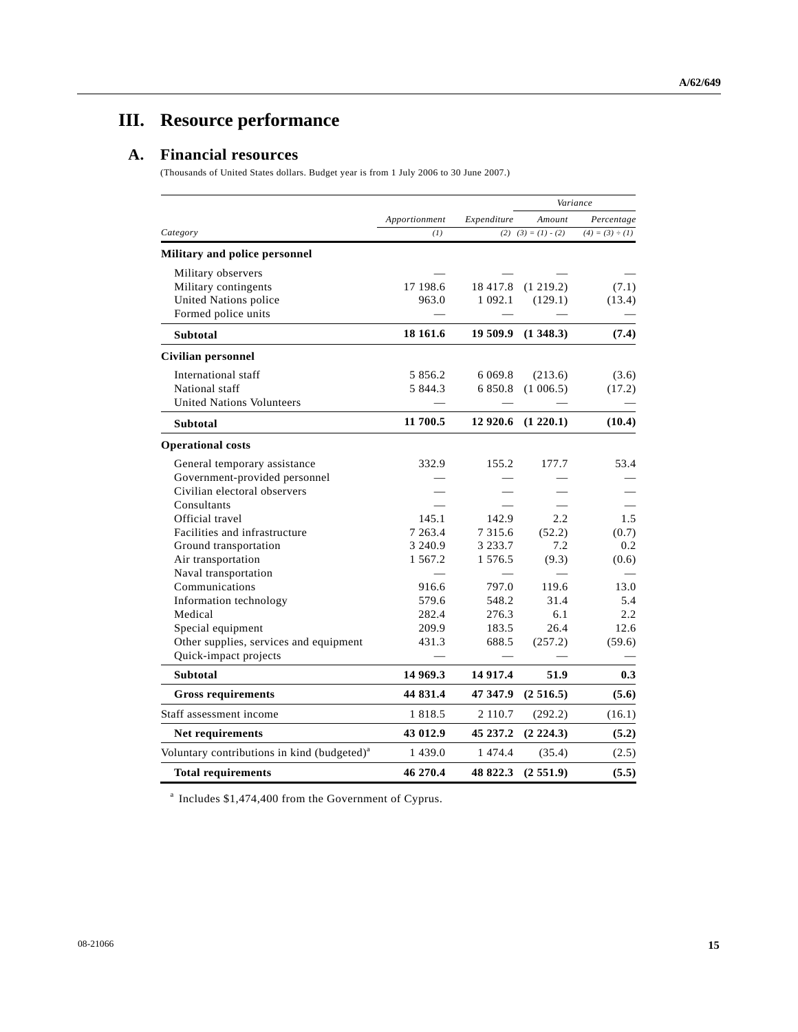# **III. Resource performance**

## **A. Financial resources**

(Thousands of United States dollars. Budget year is from 1 July 2006 to 30 June 2007.)

|                                                         |               |             | Variance                |                      |
|---------------------------------------------------------|---------------|-------------|-------------------------|----------------------|
|                                                         | Apportionment | Expenditure | Amount                  | Percentage           |
| Category                                                | (1)           |             | $(2)$ $(3) = (1) - (2)$ | $(4) = (3) \div (1)$ |
| Military and police personnel                           |               |             |                         |                      |
| Military observers                                      |               |             |                         |                      |
| Military contingents                                    | 17 198.6      |             | 18 417.8 (1 219.2)      | (7.1)                |
| United Nations police                                   | 963.0         | 1 0 9 2 . 1 | (129.1)                 | (13.4)               |
| Formed police units                                     |               |             |                         |                      |
| <b>Subtotal</b>                                         | 18 16 1.6     | 19 509.9    | (1348.3)                | (7.4)                |
| Civilian personnel                                      |               |             |                         |                      |
| International staff                                     | 5 856.2       | 6 0 69.8    | (213.6)                 | (3.6)                |
| National staff                                          | 5 844.3       | 6 850.8     | (1006.5)                | (17.2)               |
| <b>United Nations Volunteers</b>                        |               |             |                         |                      |
| <b>Subtotal</b>                                         | 11 700.5      |             | 12 920.6 (1 220.1)      | (10.4)               |
| <b>Operational costs</b>                                |               |             |                         |                      |
| General temporary assistance                            | 332.9         | 155.2       | 177.7                   | 53.4                 |
| Government-provided personnel                           |               |             |                         |                      |
| Civilian electoral observers                            |               |             |                         |                      |
| Consultants                                             |               |             |                         |                      |
| Official travel                                         | 145.1         | 142.9       | 2.2                     | 1.5                  |
| Facilities and infrastructure                           | 7 263.4       | 7 3 1 5 . 6 | (52.2)                  | (0.7)                |
| Ground transportation                                   | 3 240.9       | 3 2 3 3 . 7 | 7.2                     | 0.2                  |
| Air transportation                                      | 1 567.2       | 1 576.5     | (9.3)                   | (0.6)                |
| Naval transportation                                    |               |             |                         |                      |
| Communications                                          | 916.6         | 797.0       | 119.6                   | 13.0                 |
| Information technology                                  | 579.6         | 548.2       | 31.4                    | 5.4                  |
| Medical                                                 | 282.4         | 276.3       | 6.1                     | 2.2                  |
| Special equipment                                       | 209.9         | 183.5       | 26.4                    | 12.6                 |
| Other supplies, services and equipment                  | 431.3         | 688.5       | (257.2)                 | (59.6)               |
| Quick-impact projects                                   |               |             |                         |                      |
| <b>Subtotal</b>                                         | 14 969.3      | 14 9 17.4   | 51.9                    | 0.3                  |
| <b>Gross requirements</b>                               | 44 831.4      | 47 347.9    | (2516.5)                | (5.6)                |
| Staff assessment income                                 | 1 8 1 8 .5    | 2 110.7     | (292.2)                 | (16.1)               |
| Net requirements                                        | 43 012.9      | 45 237.2    | $(2\;224.3)$            | (5.2)                |
| Voluntary contributions in kind (budgeted) <sup>a</sup> | 1 4 3 9 . 0   | 1 474.4     | (35.4)                  | (2.5)                |
| <b>Total requirements</b>                               | 46 270.4      | 48 822.3    | (2551.9)                | (5.5)                |

<sup>a</sup> Includes \$1,474,400 from the Government of Cyprus.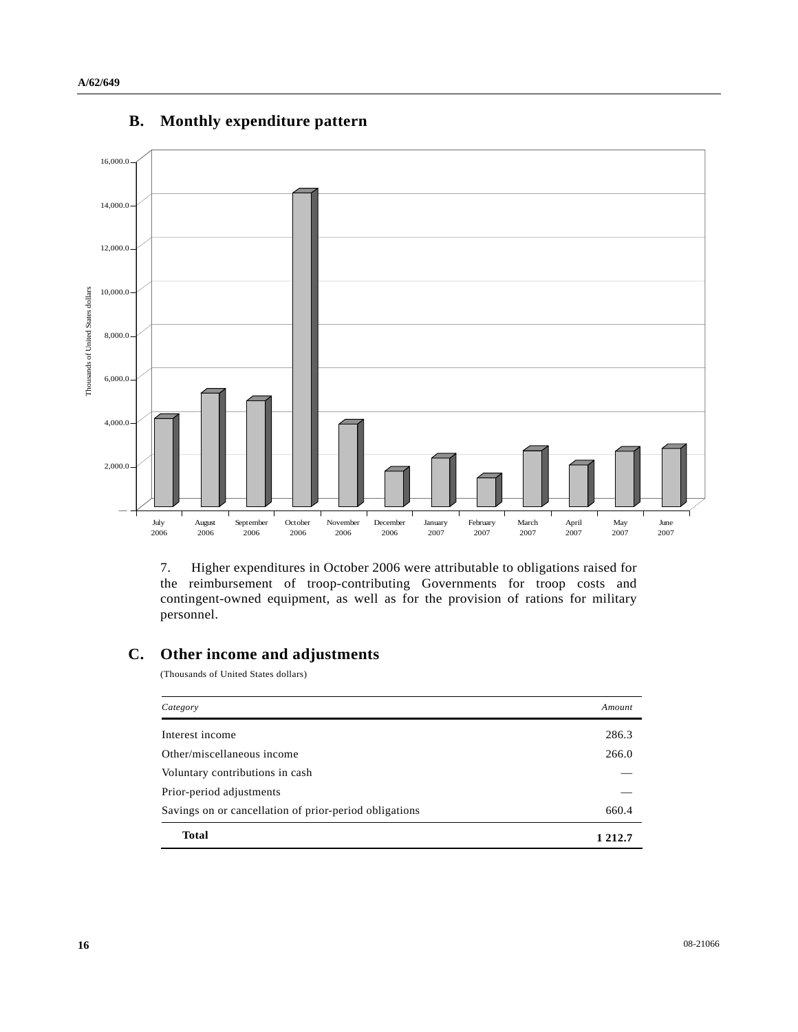

### **B. Monthly expenditure pattern**

7. Higher expenditures in October 2006 were attributable to obligations raised for the reimbursement of troop-contributing Governments for troop costs and contingent-owned equipment, as well as for the provision of rations for military personnel.

## **C. Other income and adjustments**

(Thousands of United States dollars)

| Category                                               | Amount  |
|--------------------------------------------------------|---------|
| Interest income                                        | 286.3   |
| Other/miscellaneous income                             | 266.0   |
| Voluntary contributions in cash                        |         |
| Prior-period adjustments                               |         |
| Savings on or cancellation of prior-period obligations | 660.4   |
| <b>Total</b>                                           | 1 212.7 |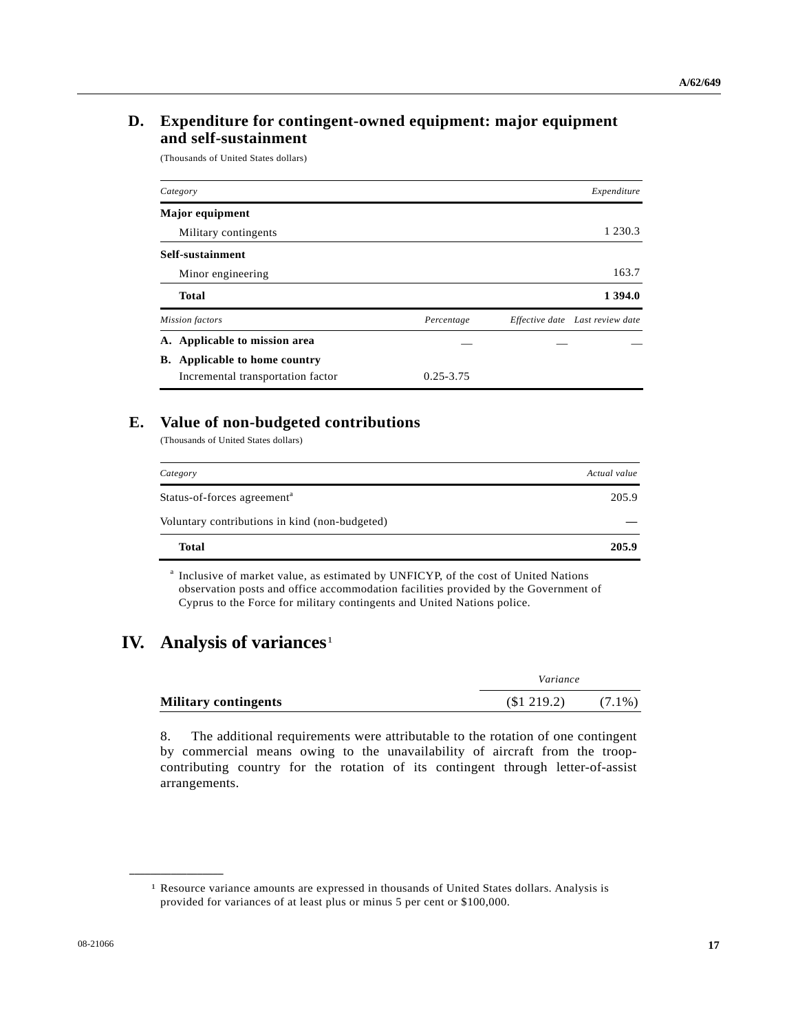### **D. Expenditure for contingent-owned equipment: major equipment and self-sustainment**

(Thousands of United States dollars)

| Category                             |               | Expenditure                     |
|--------------------------------------|---------------|---------------------------------|
| <b>Major</b> equipment               |               |                                 |
| Military contingents                 |               | 1 2 3 0 . 3                     |
| Self-sustainment                     |               |                                 |
| Minor engineering                    |               | 163.7                           |
| <b>Total</b>                         |               | 1 394.0                         |
| <b>Mission</b> factors               | Percentage    | Effective date Last review date |
| A. Applicable to mission area        |               |                                 |
| <b>B.</b> Applicable to home country |               |                                 |
| Incremental transportation factor    | $0.25 - 3.75$ |                                 |

#### **E. Value of non-budgeted contributions**

(Thousands of United States dollars)

| Category                                       | Actual value |
|------------------------------------------------|--------------|
| Status-of-forces agreement <sup>a</sup>        | 205.9        |
| Voluntary contributions in kind (non-budgeted) |              |
| <b>Total</b>                                   | 205.9        |

a Inclusive of market value, as estimated by UNFICYP, of the cost of United Nations observation posts and office accommodation facilities provided by the Government of Cyprus to the Force for military contingents and United Nations police.

# **IV.** Analysis of variances<sup>[1](#page-16-0)</sup>

<span id="page-16-0"></span>**\_\_\_\_\_\_\_\_\_\_\_\_\_\_\_\_\_\_** 

|                             | Variance      |           |
|-----------------------------|---------------|-----------|
| <b>Military contingents</b> | $\$1\,219.2)$ | $(7.1\%)$ |

8. The additional requirements were attributable to the rotation of one contingent by commercial means owing to the unavailability of aircraft from the troopcontributing country for the rotation of its contingent through letter-of-assist arrangements.

<sup>1</sup> Resource variance amounts are expressed in thousands of United States dollars. Analysis is provided for variances of at least plus or minus 5 per cent or \$100,000.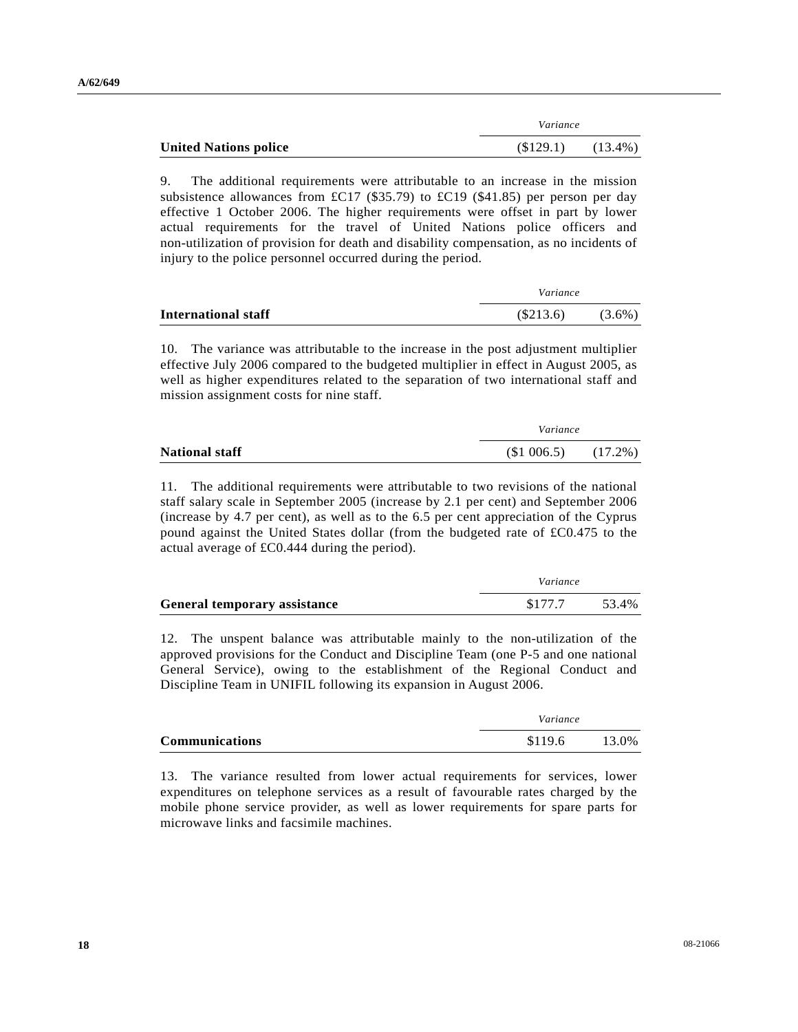|                              | Variance   |  |
|------------------------------|------------|--|
| <b>United Nations police</b> | $(13.4\%)$ |  |

9. The additional requirements were attributable to an increase in the mission subsistence allowances from £C17 (\$35.79) to £C19 (\$41.85) per person per day effective 1 October 2006. The higher requirements were offset in part by lower actual requirements for the travel of United Nations police officers and non-utilization of provision for death and disability compensation, as no incidents of injury to the police personnel occurred during the period.

|                     | Variance |           |  |
|---------------------|----------|-----------|--|
| International staff | (S213.6) | $(3.6\%)$ |  |

10. The variance was attributable to the increase in the post adjustment multiplier effective July 2006 compared to the budgeted multiplier in effect in August 2005, as well as higher expenditures related to the separation of two international staff and mission assignment costs for nine staff.

|                       | Variance   |  |  |
|-----------------------|------------|--|--|
| <b>National staff</b> | $(17.2\%)$ |  |  |

11. The additional requirements were attributable to two revisions of the national staff salary scale in September 2005 (increase by 2.1 per cent) and September 2006 (increase by 4.7 per cent), as well as to the 6.5 per cent appreciation of the Cyprus pound against the United States dollar (from the budgeted rate of £C0.475 to the actual average of £C0.444 during the period).

|                                     | Variance |       |
|-------------------------------------|----------|-------|
| <b>General temporary assistance</b> | \$177.7  | 53.4% |

12. The unspent balance was attributable mainly to the non-utilization of the approved provisions for the Conduct and Discipline Team (one P-5 and one national General Service), owing to the establishment of the Regional Conduct and Discipline Team in UNIFIL following its expansion in August 2006.

|                       |         | Variance |  |
|-----------------------|---------|----------|--|
| <b>Communications</b> | \$119.6 | 13.0%    |  |

13. The variance resulted from lower actual requirements for services, lower expenditures on telephone services as a result of favourable rates charged by the mobile phone service provider, as well as lower requirements for spare parts for microwave links and facsimile machines.